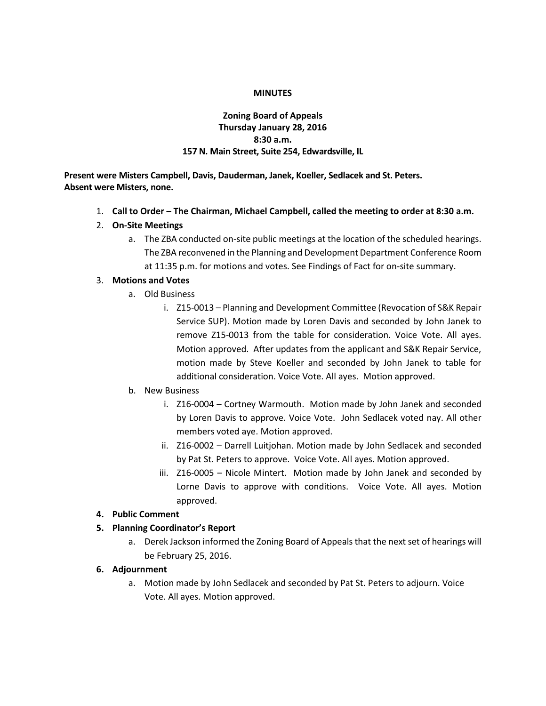#### **MINUTES**

# **Zoning Board of Appeals Thursday January 28, 2016 8:30 a.m. 157 N. Main Street, Suite 254, Edwardsville, IL**

**Present were Misters Campbell, Davis, Dauderman, Janek, Koeller, Sedlacek and St. Peters. Absent were Misters, none.**

- 1. **Call to Order – The Chairman, Michael Campbell, called the meeting to order at 8:30 a.m.**
- 2. **On-Site Meetings**
	- a. The ZBA conducted on-site public meetings at the location of the scheduled hearings. The ZBA reconvened in the Planning and Development Department Conference Room at 11:35 p.m. for motions and votes. See Findings of Fact for on-site summary.

# 3. **Motions and Votes**

- a. Old Business
	- i. Z15-0013 Planning and Development Committee (Revocation of S&K Repair Service SUP). Motion made by Loren Davis and seconded by John Janek to remove Z15-0013 from the table for consideration. Voice Vote. All ayes. Motion approved. After updates from the applicant and S&K Repair Service, motion made by Steve Koeller and seconded by John Janek to table for additional consideration. Voice Vote. All ayes. Motion approved.
- b. New Business
	- i. Z16-0004 Cortney Warmouth. Motion made by John Janek and seconded by Loren Davis to approve. Voice Vote. John Sedlacek voted nay. All other members voted aye. Motion approved.
	- ii. Z16-0002 Darrell Luitjohan. Motion made by John Sedlacek and seconded by Pat St. Peters to approve. Voice Vote. All ayes. Motion approved.
	- iii. Z16-0005 Nicole Mintert. Motion made by John Janek and seconded by Lorne Davis to approve with conditions. Voice Vote. All ayes. Motion approved.
- **4. Public Comment**
- **5. Planning Coordinator's Report**
	- a. Derek Jackson informed the Zoning Board of Appeals that the next set of hearings will be February 25, 2016.

# **6. Adjournment**

a. Motion made by John Sedlacek and seconded by Pat St. Peters to adjourn. Voice Vote. All ayes. Motion approved.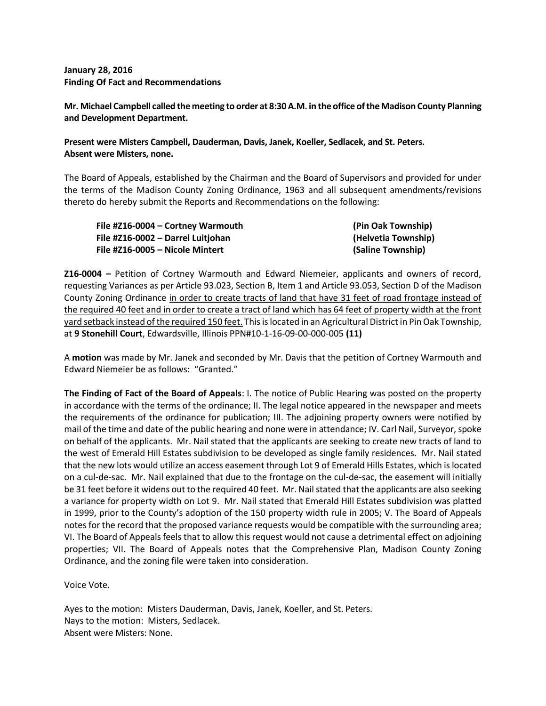**January 28, 2016 Finding Of Fact and Recommendations**

**Mr. Michael Campbell called the meeting to order at 8:30 A.M. in the office of the Madison County Planning and Development Department.**

# **Present were Misters Campbell, Dauderman, Davis, Janek, Koeller, Sedlacek, and St. Peters. Absent were Misters, none.**

The Board of Appeals, established by the Chairman and the Board of Supervisors and provided for under the terms of the Madison County Zoning Ordinance, 1963 and all subsequent amendments/revisions thereto do hereby submit the Reports and Recommendations on the following:

| File #Z16-0004 - Cortney Warmouth | (Pin Oak Township)  |
|-----------------------------------|---------------------|
| File #Z16-0002 - Darrel Luitjohan | (Helvetia Township) |
| File #Z16-0005 - Nicole Mintert   | (Saline Township)   |

**Z16-0004 –** Petition of Cortney Warmouth and Edward Niemeier, applicants and owners of record, requesting Variances as per Article 93.023, Section B, Item 1 and Article 93.053, Section D of the Madison County Zoning Ordinance in order to create tracts of land that have 31 feet of road frontage instead of the required 40 feet and in order to create a tract of land which has 64 feet of property width at the front yard setback instead of the required 150 feet. This is located in an Agricultural District in Pin Oak Township, at **9 Stonehill Court**, Edwardsville, Illinois PPN#10-1-16-09-00-000-005 **(11)**

A **motion** was made by Mr. Janek and seconded by Mr. Davis that the petition of Cortney Warmouth and Edward Niemeier be as follows: "Granted."

**The Finding of Fact of the Board of Appeals**: I. The notice of Public Hearing was posted on the property in accordance with the terms of the ordinance; II. The legal notice appeared in the newspaper and meets the requirements of the ordinance for publication; III. The adjoining property owners were notified by mail of the time and date of the public hearing and none were in attendance; IV. Carl Nail, Surveyor, spoke on behalf of the applicants. Mr. Nail stated that the applicants are seeking to create new tracts of land to the west of Emerald Hill Estates subdivision to be developed as single family residences. Mr. Nail stated that the new lots would utilize an access easement through Lot 9 of Emerald Hills Estates, which is located on a cul-de-sac. Mr. Nail explained that due to the frontage on the cul-de-sac, the easement will initially be 31 feet before it widens out to the required 40 feet. Mr. Nail stated that the applicants are also seeking a variance for property width on Lot 9. Mr. Nail stated that Emerald Hill Estates subdivision was platted in 1999, prior to the County's adoption of the 150 property width rule in 2005; V. The Board of Appeals notes for the record that the proposed variance requests would be compatible with the surrounding area; VI. The Board of Appeals feels that to allow this request would not cause a detrimental effect on adjoining properties; VII. The Board of Appeals notes that the Comprehensive Plan, Madison County Zoning Ordinance, and the zoning file were taken into consideration.

Voice Vote.

Ayes to the motion: Misters Dauderman, Davis, Janek, Koeller, and St. Peters. Nays to the motion: Misters, Sedlacek. Absent were Misters: None.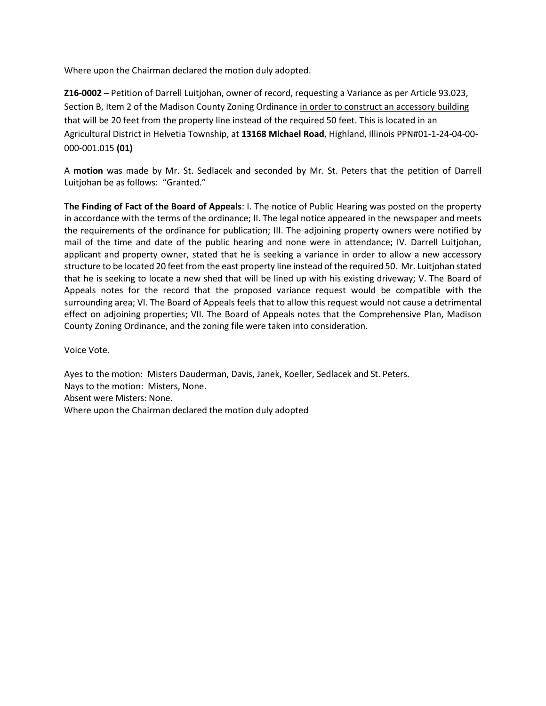Where upon the Chairman declared the motion duly adopted.

**Z16-0002 –** Petition of Darrell Luitjohan, owner of record, requesting a Variance as per Article 93.023, Section B, Item 2 of the Madison County Zoning Ordinance in order to construct an accessory building that will be 20 feet from the property line instead of the required 50 feet. This is located in an Agricultural District in Helvetia Township, at **13168 Michael Road**, Highland, Illinois PPN#01-1-24-04-00- 000-001.015 **(01)**

A **motion** was made by Mr. St. Sedlacek and seconded by Mr. St. Peters that the petition of Darrell Luitjohan be as follows: "Granted."

**The Finding of Fact of the Board of Appeals**: I. The notice of Public Hearing was posted on the property in accordance with the terms of the ordinance; II. The legal notice appeared in the newspaper and meets the requirements of the ordinance for publication; III. The adjoining property owners were notified by mail of the time and date of the public hearing and none were in attendance; IV. Darrell Luitjohan, applicant and property owner, stated that he is seeking a variance in order to allow a new accessory structure to be located 20 feet from the east property line instead of the required 50. Mr. Luitjohan stated that he is seeking to locate a new shed that will be lined up with his existing driveway; V. The Board of Appeals notes for the record that the proposed variance request would be compatible with the surrounding area; VI. The Board of Appeals feels that to allow this request would not cause a detrimental effect on adjoining properties; VII. The Board of Appeals notes that the Comprehensive Plan, Madison County Zoning Ordinance, and the zoning file were taken into consideration.

Voice Vote.

Ayes to the motion: Misters Dauderman, Davis, Janek, Koeller, Sedlacek and St. Peters. Nays to the motion: Misters, None. Absent were Misters: None. Where upon the Chairman declared the motion duly adopted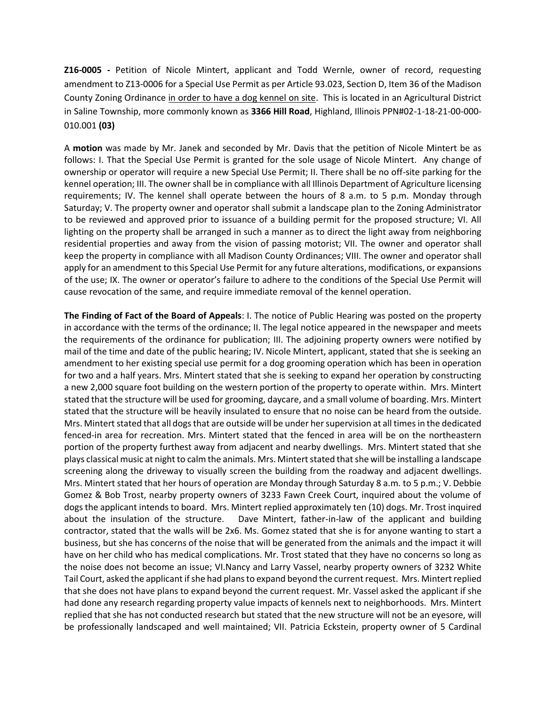**Z16-0005 -** Petition of Nicole Mintert, applicant and Todd Wernle, owner of record, requesting amendment to Z13-0006 for a Special Use Permit as per Article 93.023, Section D, Item 36 of the Madison County Zoning Ordinance in order to have a dog kennel on site. This is located in an Agricultural District in Saline Township, more commonly known as **3366 Hill Road**, Highland, Illinois PPN#02-1-18-21-00-000- 010.001 **(03)**

A **motion** was made by Mr. Janek and seconded by Mr. Davis that the petition of Nicole Mintert be as follows: I. That the Special Use Permit is granted for the sole usage of Nicole Mintert. Any change of ownership or operator will require a new Special Use Permit; II. There shall be no off-site parking for the kennel operation; III. The owner shall be in compliance with all Illinois Department of Agriculture licensing requirements; IV. The kennel shall operate between the hours of 8 a.m. to 5 p.m. Monday through Saturday; V. The property owner and operator shall submit a landscape plan to the Zoning Administrator to be reviewed and approved prior to issuance of a building permit for the proposed structure; VI. All lighting on the property shall be arranged in such a manner as to direct the light away from neighboring residential properties and away from the vision of passing motorist; VII. The owner and operator shall keep the property in compliance with all Madison County Ordinances; VIII. The owner and operator shall apply for an amendment to this Special Use Permit for any future alterations, modifications, or expansions of the use; IX. The owner or operator's failure to adhere to the conditions of the Special Use Permit will cause revocation of the same, and require immediate removal of the kennel operation.

**The Finding of Fact of the Board of Appeals**: I. The notice of Public Hearing was posted on the property in accordance with the terms of the ordinance; II. The legal notice appeared in the newspaper and meets the requirements of the ordinance for publication; III. The adjoining property owners were notified by mail of the time and date of the public hearing; IV. Nicole Mintert, applicant, stated that she is seeking an amendment to her existing special use permit for a dog grooming operation which has been in operation for two and a half years. Mrs. Mintert stated that she is seeking to expand her operation by constructing a new 2,000 square foot building on the western portion of the property to operate within. Mrs. Mintert stated that the structure will be used for grooming, daycare, and a small volume of boarding. Mrs. Mintert stated that the structure will be heavily insulated to ensure that no noise can be heard from the outside. Mrs. Mintert stated that all dogs that are outside will be under her supervision at all times in the dedicated fenced-in area for recreation. Mrs. Mintert stated that the fenced in area will be on the northeastern portion of the property furthest away from adjacent and nearby dwellings. Mrs. Mintert stated that she plays classical music at night to calm the animals. Mrs. Mintert stated that she will be installing a landscape screening along the driveway to visually screen the building from the roadway and adjacent dwellings. Mrs. Mintert stated that her hours of operation are Monday through Saturday 8 a.m. to 5 p.m.; V. Debbie Gomez & Bob Trost, nearby property owners of 3233 Fawn Creek Court, inquired about the volume of dogs the applicant intends to board. Mrs. Mintert replied approximately ten (10) dogs. Mr. Trost inquired about the insulation of the structure. Dave Mintert, father-in-law of the applicant and building contractor, stated that the walls will be 2x6. Ms. Gomez stated that she is for anyone wanting to start a business, but she has concerns of the noise that will be generated from the animals and the impact it will have on her child who has medical complications. Mr. Trost stated that they have no concerns so long as the noise does not become an issue; VI.Nancy and Larry Vassel, nearby property owners of 3232 White Tail Court, asked the applicant if she had plans to expand beyond the current request. Mrs. Mintert replied that she does not have plans to expand beyond the current request. Mr. Vassel asked the applicant if she had done any research regarding property value impacts of kennels next to neighborhoods. Mrs. Mintert replied that she has not conducted research but stated that the new structure will not be an eyesore, will be professionally landscaped and well maintained; VII. Patricia Eckstein, property owner of 5 Cardinal